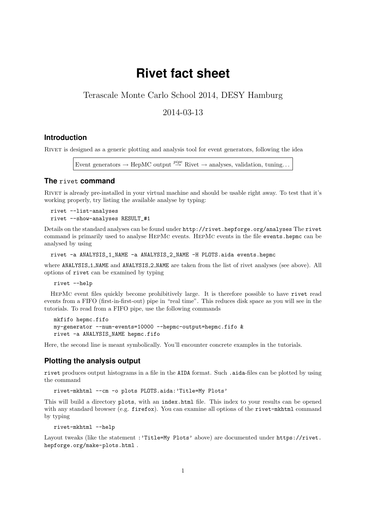# **Rivet fact sheet**

# Terascale Monte Carlo School 2014, DESY Hamburg

## 2014-03-13

#### **Introduction**

Rivet is designed as a generic plotting and analysis tool for event generators, following the idea

Event generators  $\rightarrow$  HepMC output  $\stackrel{pipe}{\rightarrow}$  Rivet  $\rightarrow$  analyses, validation, tuning...

#### **The** rivet **command**

RIVET is already pre-installed in your virtual machine and should be usable right away. To test that it's working properly, try listing the available analyse by typing:

```
rivet --list-analyses
rivet --show-analyses RESULT_#1
```
Details on the standard analyses can be found under http://rivet.hepforge.org/analyses The rivet command is primarily used to analyse HepMc events. HepMc events in the file events.hepmc can be analysed by using

rivet -a ANALYSIS\_1\_NAME -a ANALYSIS\_2\_NAME -H PLOTS.aida events.hepmc

where ANALYSIS 1 NAME and ANALYSIS 2 NAME are taken from the list of rivet analyses (see above). All options of rivet can be examined by typing

rivet --help

HepMc event files quickly become prohibitively large. It is therefore possible to have rivet read events from a FIFO (first-in-first-out) pipe in "real time". This reduces disk space as you will see in the tutorials. To read from a FIFO pipe, use the following commands

```
mkfifo hepmc.fifo
my-generator --num-events=10000 --hepmc-output=hepmc.fifo &
rivet -a ANALYSIS_NAME hepmc.fifo
```
Here, the second line is meant symbolically. You'll encounter concrete examples in the tutorials.

#### **Plotting the analysis output**

rivet produces output histograms in a file in the AIDA format. Such .aida-files can be plotted by using the command

rivet-mkhtml --cm -o plots PLOTS.aida:'Title=My Plots'

This will build a directory plots, with an index.html file. This index to your results can be opened with any standard browser (e.g. firefox). You can examine all options of the rivet-mkhtml command by typing

rivet-mkhtml --help

Layout tweaks (like the statement : 'Title=My Plots' above) are documented under https://rivet. hepforge.org/make-plots.html .